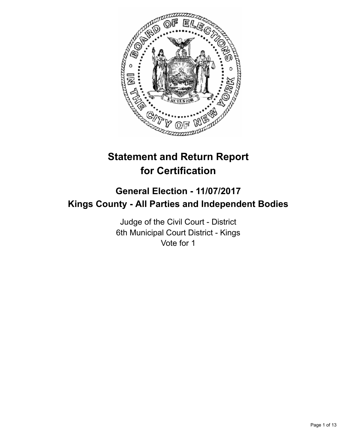

# **Statement and Return Report for Certification**

## **General Election - 11/07/2017 Kings County - All Parties and Independent Bodies**

Judge of the Civil Court - District 6th Municipal Court District - Kings Vote for 1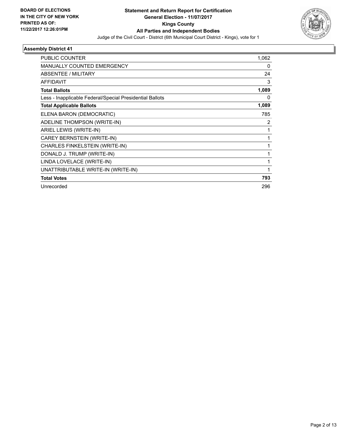

| <b>PUBLIC COUNTER</b>                                    | 1,062          |
|----------------------------------------------------------|----------------|
| <b>MANUALLY COUNTED EMERGENCY</b>                        | 0              |
| ABSENTEE / MILITARY                                      | 24             |
| <b>AFFIDAVIT</b>                                         | 3              |
| <b>Total Ballots</b>                                     | 1,089          |
| Less - Inapplicable Federal/Special Presidential Ballots | 0              |
| <b>Total Applicable Ballots</b>                          | 1,089          |
| ELENA BARON (DEMOCRATIC)                                 | 785            |
| ADELINE THOMPSON (WRITE-IN)                              | $\overline{2}$ |
| ARIEL LEWIS (WRITE-IN)                                   | $\mathbf{1}$   |
| CAREY BERNSTEIN (WRITE-IN)                               |                |
| CHARLES FINKELSTEIN (WRITE-IN)                           |                |
| DONALD J. TRUMP (WRITE-IN)                               |                |
| LINDA LOVELACE (WRITE-IN)                                | 1              |
| UNATTRIBUTABLE WRITE-IN (WRITE-IN)                       | 1              |
| <b>Total Votes</b>                                       | 793            |
| Unrecorded                                               | 296            |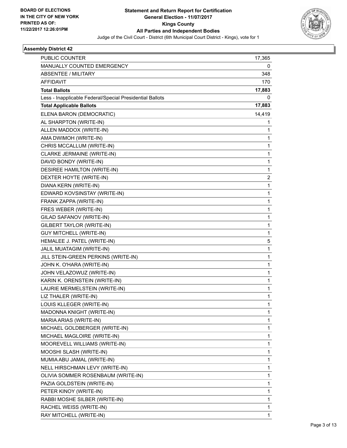

| PUBLIC COUNTER                                           | 17,365 |
|----------------------------------------------------------|--------|
| MANUALLY COUNTED EMERGENCY                               | 0      |
| <b>ABSENTEE / MILITARY</b>                               | 348    |
| <b>AFFIDAVIT</b>                                         | 170    |
| <b>Total Ballots</b>                                     | 17,883 |
| Less - Inapplicable Federal/Special Presidential Ballots | 0      |
| <b>Total Applicable Ballots</b>                          | 17,883 |
| ELENA BARON (DEMOCRATIC)                                 | 14,419 |
| AL SHARPTON (WRITE-IN)                                   | 1      |
| ALLEN MADDOX (WRITE-IN)                                  | 1      |
| AMA DWIMOH (WRITE-IN)                                    | 1      |
| CHRIS MCCALLUM (WRITE-IN)                                | 1      |
| CLARKE JERMAINE (WRITE-IN)                               | 1      |
| DAVID BONDY (WRITE-IN)                                   | 1      |
| DESIREE HAMILTON (WRITE-IN)                              | 1      |
| DEXTER HOYTE (WRITE-IN)                                  | 2      |
| DIANA KERN (WRITE-IN)                                    | 1      |
| EDWARD KOVSINSTAY (WRITE-IN)                             | 1      |
| FRANK ZAPPA (WRITE-IN)                                   | 1      |
| FRES WEBER (WRITE-IN)                                    | 1      |
| GILAD SAFANOV (WRITE-IN)                                 | 1      |
| GILBERT TAYLOR (WRITE-IN)                                | 1      |
| <b>GUY MITCHELL (WRITE-IN)</b>                           | 1      |
| HEMALEE J. PATEL (WRITE-IN)                              | 5      |
| JALIL MUATAGIM (WRITE-IN)                                | 1      |
| JILL STEIN-GREEN PERKINS (WRITE-IN)                      | 1      |
| JOHN K. O'HARA (WRITE-IN)                                | 1      |
| JOHN VELAZOWUZ (WRITE-IN)                                | 1      |
| KARIN K. ORENSTEIN (WRITE-IN)                            | 1      |
| LAURIE MERMELSTEIN (WRITE-IN)                            | 1      |
| LIZ THALER (WRITE-IN)                                    | 1      |
| LOUIS KLLEGER (WRITE-IN)                                 | 1      |
| MADONNA KNIGHT (WRITE-IN)                                | 1      |
| MARIA ARIAS (WRITE-IN)                                   | 1      |
| MICHAEL GOLDBERGER (WRITE-IN)                            | 1      |
| MICHAEL MAGLOIRE (WRITE-IN)                              | 1      |
| MOOREVELL WILLIAMS (WRITE-IN)                            | 1      |
| MOOSHI SLASH (WRITE-IN)                                  | 1      |
| MUMIA ABU JAMAL (WRITE-IN)                               | 1      |
| NELL HIRSCHMAN LEVY (WRITE-IN)                           | 1      |
| OLIVIA SOMMER ROSENBAUM (WRITE-IN)                       | 1      |
| PAZIA GOLDSTEIN (WRITE-IN)                               | 1      |
| PETER KINOY (WRITE-IN)                                   | 1      |
| RABBI MOSHE SILBER (WRITE-IN)                            | 1      |
| RACHEL WEISS (WRITE-IN)                                  | 1      |
| RAY MITCHELL (WRITE-IN)                                  | 1      |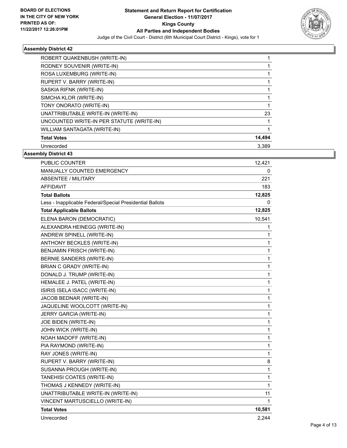

| ROBERT QUAKENBUSH (WRITE-IN)              |        |
|-------------------------------------------|--------|
| RODNEY SOUVENIR (WRITE-IN)                |        |
| ROSA LUXEMBURG (WRITE-IN)                 |        |
| RUPERT V. BARRY (WRITE-IN)                |        |
| SASKIA RIFNK (WRITE-IN)                   |        |
| SIMCHA KLOR (WRITE-IN)                    |        |
| TONY ONORATO (WRITE-IN)                   |        |
| UNATTRIBUTABLE WRITE-IN (WRITE-IN)        | 23     |
| UNCOUNTED WRITE-IN PER STATUTE (WRITE-IN) |        |
| WILLIAM SANTAGATA (WRITE-IN)              |        |
| <b>Total Votes</b>                        | 14,494 |
| Unrecorded                                | 3.389  |

| <b>PUBLIC COUNTER</b>                                    | 12,421 |
|----------------------------------------------------------|--------|
| MANUALLY COUNTED EMERGENCY                               | 0      |
| <b>ABSENTEE / MILITARY</b>                               | 221    |
| <b>AFFIDAVIT</b>                                         | 183    |
| <b>Total Ballots</b>                                     | 12,825 |
| Less - Inapplicable Federal/Special Presidential Ballots | 0      |
| <b>Total Applicable Ballots</b>                          | 12,825 |
| ELENA BARON (DEMOCRATIC)                                 | 10,541 |
| ALEXANDRA HEINEGG (WRITE-IN)                             | 1      |
| ANDREW SPINELL (WRITE-IN)                                | 1      |
| ANTHONY BECKLES (WRITE-IN)                               | 1      |
| BENJAMIN FRISCH (WRITE-IN)                               | 1      |
| BERNIE SANDERS (WRITE-IN)                                | 1      |
| BRIAN C GRADY (WRITE-IN)                                 | 1      |
| DONALD J. TRUMP (WRITE-IN)                               | 1      |
| HEMALEE J. PATEL (WRITE-IN)                              | 1      |
| ISIRIS ISELA ISACC (WRITE-IN)                            | 1      |
| JACOB BEDNAR (WRITE-IN)                                  | 1      |
| JAQUELINE WOOLCOTT (WRITE-IN)                            | 1      |
| JERRY GARCIA (WRITE-IN)                                  | 1      |
| JOE BIDEN (WRITE-IN)                                     | 1      |
| JOHN WICK (WRITE-IN)                                     | 1      |
| NOAH MADOFF (WRITE-IN)                                   | 1      |
| PIA RAYMOND (WRITE-IN)                                   | 1      |
| RAY JONES (WRITE-IN)                                     | 1      |
| RUPERT V. BARRY (WRITE-IN)                               | 8      |
| SUSANNA PROUGH (WRITE-IN)                                | 1      |
| TANEHISI COATES (WRITE-IN)                               | 1      |
| THOMAS J KENNEDY (WRITE-IN)                              | 1      |
| UNATTRIBUTABLE WRITE-IN (WRITE-IN)                       | 11     |
| VINCENT MARTUSCIELLO (WRITE-IN)                          | 1      |
| <b>Total Votes</b>                                       | 10,581 |
| Unrecorded                                               | 2,244  |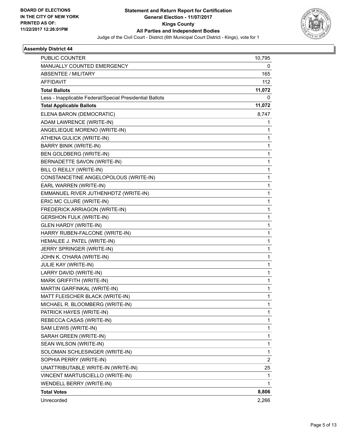

| PUBLIC COUNTER                                           | 10,795 |
|----------------------------------------------------------|--------|
| MANUALLY COUNTED EMERGENCY                               | 0      |
| <b>ABSENTEE / MILITARY</b>                               | 165    |
| <b>AFFIDAVIT</b>                                         | 112    |
| <b>Total Ballots</b>                                     | 11,072 |
| Less - Inapplicable Federal/Special Presidential Ballots | 0      |
| <b>Total Applicable Ballots</b>                          | 11,072 |
| ELENA BARON (DEMOCRATIC)                                 | 8,747  |
| ADAM LAWRENCE (WRITE-IN)                                 | 1      |
| ANGELIEQUE MORENO (WRITE-IN)                             | 1      |
| ATHENA GULICK (WRITE-IN)                                 | 1      |
| <b>BARRY BINIK (WRITE-IN)</b>                            | 1      |
| <b>BEN GOLDBERG (WRITE-IN)</b>                           | 1      |
| BERNADETTE SAVON (WRITE-IN)                              | 1      |
| BILL O REILLY (WRITE-IN)                                 | 1      |
| CONSTANCETINE ANGELOPOLOUS (WRITE-IN)                    | 1      |
| EARL WARREN (WRITE-IN)                                   | 1      |
| EMMANUEL RIVER JUTHENHDTZ (WRITE-IN)                     | 1      |
| ERIC MC CLURE (WRITE-IN)                                 | 1      |
| FREDERICK ARRIAGON (WRITE-IN)                            | 1      |
| <b>GERSHON FULK (WRITE-IN)</b>                           | 1      |
| <b>GLEN HARDY (WRITE-IN)</b>                             | 1      |
| HARRY RUBEN-FALCONE (WRITE-IN)                           | 1      |
| HEMALEE J. PATEL (WRITE-IN)                              | 1      |
| JERRY SPRINGER (WRITE-IN)                                | 1      |
| JOHN K. O'HARA (WRITE-IN)                                | 1      |
| JULIE KAY (WRITE-IN)                                     | 1      |
| LARRY DAVID (WRITE-IN)                                   | 1      |
| MARK GRIFFITH (WRITE-IN)                                 | 1      |
| MARTIN GARFINKAL (WRITE-IN)                              | 1      |
| MATT FLEISCHER BLACK (WRITE-IN)                          | 1      |
| MICHAEL R. BLOOMBERG (WRITE-IN)                          | 1      |
| PATRICK HAYES (WRITE-IN)                                 | 1      |
| REBECCA CASAS (WRITE-IN)                                 | 1      |
| SAM LEWIS (WRITE-IN)                                     | 1      |
| SARAH GREEN (WRITE-IN)                                   | 1      |
| SEAN WILSON (WRITE-IN)                                   | 1      |
| SOLOMAN SCHLESINGER (WRITE-IN)                           | 1      |
| SOPHIA PERRY (WRITE-IN)                                  | 2      |
| UNATTRIBUTABLE WRITE-IN (WRITE-IN)                       | 25     |
| VINCENT MARTUSCIELLO (WRITE-IN)                          | 1      |
| WENDELL BERRY (WRITE-IN)                                 | 1      |
| <b>Total Votes</b>                                       | 8,806  |
| Unrecorded                                               | 2,266  |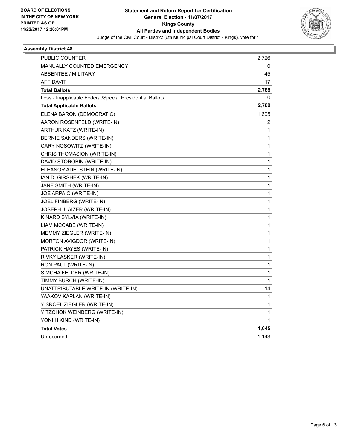

| PUBLIC COUNTER                                           | 2,726        |
|----------------------------------------------------------|--------------|
| <b>MANUALLY COUNTED EMERGENCY</b>                        | 0            |
| <b>ABSENTEE / MILITARY</b>                               | 45           |
| <b>AFFIDAVIT</b>                                         | 17           |
| <b>Total Ballots</b>                                     | 2,788        |
| Less - Inapplicable Federal/Special Presidential Ballots | 0            |
| <b>Total Applicable Ballots</b>                          | 2,788        |
| ELENA BARON (DEMOCRATIC)                                 | 1,605        |
| AARON ROSENFELD (WRITE-IN)                               | 2            |
| ARTHUR KATZ (WRITE-IN)                                   | 1            |
| BERNIE SANDERS (WRITE-IN)                                | $\mathbf{1}$ |
| CARY NOSOWITZ (WRITE-IN)                                 | 1            |
| CHRIS THOMASION (WRITE-IN)                               | 1            |
| DAVID STOROBIN (WRITE-IN)                                | 1            |
| ELEANOR ADELSTEIN (WRITE-IN)                             | 1            |
| IAN D. GIRSHEK (WRITE-IN)                                | 1            |
| JANE SMITH (WRITE-IN)                                    | 1            |
| JOE ARPAIO (WRITE-IN)                                    | 1            |
| JOEL FINBERG (WRITE-IN)                                  | 1            |
| JOSEPH J. AIZER (WRITE-IN)                               | 1            |
| KINARD SYLVIA (WRITE-IN)                                 | 1            |
| LIAM MCCABE (WRITE-IN)                                   | 1            |
| MEMMY ZIEGLER (WRITE-IN)                                 | 1            |
| MORTON AVIGDOR (WRITE-IN)                                | 1            |
| PATRICK HAYES (WRITE-IN)                                 | 1            |
| RIVKY LASKER (WRITE-IN)                                  | 1            |
| RON PAUL (WRITE-IN)                                      | $\mathbf 1$  |
| SIMCHA FELDER (WRITE-IN)                                 | 1            |
| TIMMY BURCH (WRITE-IN)                                   | 1            |
| UNATTRIBUTABLE WRITE-IN (WRITE-IN)                       | 14           |
| YAAKOV KAPLAN (WRITE-IN)                                 | 1            |
| YISROEL ZIEGLER (WRITE-IN)                               | 1            |
| YITZCHOK WEINBERG (WRITE-IN)                             | 1            |
| YONI HIKIND (WRITE-IN)                                   | 1            |
| <b>Total Votes</b>                                       | 1,645        |
| Unrecorded                                               | 1,143        |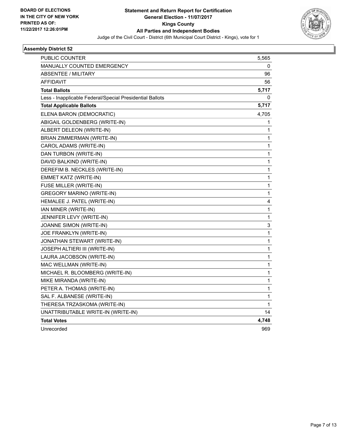

| PUBLIC COUNTER                                           | 5,565        |
|----------------------------------------------------------|--------------|
| <b>MANUALLY COUNTED EMERGENCY</b>                        | 0            |
| ABSENTEE / MILITARY                                      | 96           |
| AFFIDAVIT                                                | 56           |
| <b>Total Ballots</b>                                     | 5,717        |
| Less - Inapplicable Federal/Special Presidential Ballots | 0            |
| <b>Total Applicable Ballots</b>                          | 5,717        |
| ELENA BARON (DEMOCRATIC)                                 | 4,705        |
| ABIGAIL GOLDENBERG (WRITE-IN)                            | 1            |
| ALBERT DELEON (WRITE-IN)                                 | 1            |
| BRIAN ZIMMERMAN (WRITE-IN)                               | 1            |
| CAROL ADAMS (WRITE-IN)                                   | 1            |
| DAN TURBON (WRITE-IN)                                    | 1            |
| DAVID BALKIND (WRITE-IN)                                 | $\mathbf{1}$ |
| DEREFIM B. NECKLES (WRITE-IN)                            | 1            |
| <b>EMMET KATZ (WRITE-IN)</b>                             | 1            |
| FUSE MILLER (WRITE-IN)                                   | 1            |
| <b>GREGORY MARINO (WRITE-IN)</b>                         | 1            |
| HEMALEE J. PATEL (WRITE-IN)                              | 4            |
| IAN MINER (WRITE-IN)                                     | $\mathbf{1}$ |
| JENNIFER LEVY (WRITE-IN)                                 | $\mathbf 1$  |
| JOANNE SIMON (WRITE-IN)                                  | 3            |
| JOE FRANKLYN (WRITE-IN)                                  | 1            |
| JONATHAN STEWART (WRITE-IN)                              | 1            |
| JOSEPH ALTIERI III (WRITE-IN)                            | 1            |
| LAURA JACOBSON (WRITE-IN)                                | 1            |
| MAC WELLMAN (WRITE-IN)                                   | 1            |
| MICHAEL R. BLOOMBERG (WRITE-IN)                          | 1            |
| MIKE MIRANDA (WRITE-IN)                                  | 1            |
| PETER A. THOMAS (WRITE-IN)                               | 1            |
| SAL F. ALBANESE (WRITE-IN)                               | 1            |
| THERESA TRZASKOMA (WRITE-IN)                             | 1            |
| UNATTRIBUTABLE WRITE-IN (WRITE-IN)                       | 14           |
| <b>Total Votes</b>                                       | 4,748        |
| Unrecorded                                               | 969          |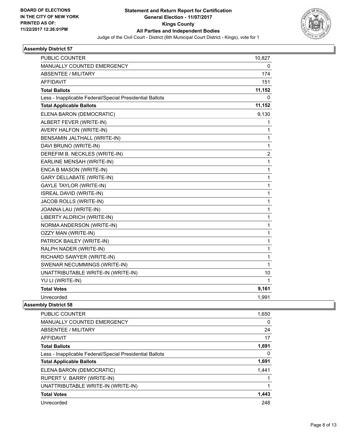

| PUBLIC COUNTER                                           | 10,827         |
|----------------------------------------------------------|----------------|
| MANUALLY COUNTED EMERGENCY                               | 0              |
| <b>ABSENTEE / MILITARY</b>                               | 174            |
| <b>AFFIDAVIT</b>                                         | 151            |
| <b>Total Ballots</b>                                     | 11,152         |
| Less - Inapplicable Federal/Special Presidential Ballots | 0              |
| <b>Total Applicable Ballots</b>                          | 11,152         |
| ELENA BARON (DEMOCRATIC)                                 | 9,130          |
| ALBERT FEVER (WRITE-IN)                                  | 1              |
| AVERY HALFON (WRITE-IN)                                  | 1              |
| BENSAMIN JALTHALL (WRITE-IN)                             | 1              |
| DAVI BRUNO (WRITE-IN)                                    | $\mathbf{1}$   |
| DEREFIM B. NECKLES (WRITE-IN)                            | $\overline{2}$ |
| EARLINE MENSAH (WRITE-IN)                                | 1              |
| ENCA B MASON (WRITE-IN)                                  | 1              |
| <b>GARY DELLABATE (WRITE-IN)</b>                         | 1              |
| GAYLE TAYLOR (WRITE-IN)                                  | 1              |
| <b>ISREAL DAVID (WRITE-IN)</b>                           | 1              |
| JACOB ROLLS (WRITE-IN)                                   | 1              |
| JOANNA LAU (WRITE-IN)                                    | $\mathbf{1}$   |
| LIBERTY ALDRICH (WRITE-IN)                               | 1              |
| NORMA ANDERSON (WRITE-IN)                                | 1              |
| OZZY MAN (WRITE-IN)                                      | 1              |
| PATRICK BAILEY (WRITE-IN)                                | 1              |
| RALPH NADER (WRITE-IN)                                   | 1              |
| RICHARD SAWYER (WRITE-IN)                                | 1              |
| SWENAR NECUMMINGS (WRITE-IN)                             | 1              |
| UNATTRIBUTABLE WRITE-IN (WRITE-IN)                       | 10             |
| YU LI (WRITE-IN)                                         | 1              |
| <b>Total Votes</b>                                       | 9,161          |
| Unrecorded                                               | 1,991          |

| <b>PUBLIC COUNTER</b>                                    | 1,650 |
|----------------------------------------------------------|-------|
| <b>MANUALLY COUNTED EMERGENCY</b>                        | 0     |
| ABSENTEE / MILITARY                                      | 24    |
| <b>AFFIDAVIT</b>                                         | 17    |
| <b>Total Ballots</b>                                     | 1,691 |
| Less - Inapplicable Federal/Special Presidential Ballots | 0     |
| <b>Total Applicable Ballots</b>                          | 1,691 |
| ELENA BARON (DEMOCRATIC)                                 | 1,441 |
| RUPERT V. BARRY (WRITE-IN)                               |       |
| UNATTRIBUTABLE WRITE-IN (WRITE-IN)                       |       |
| <b>Total Votes</b>                                       | 1,443 |
| Unrecorded                                               | 248   |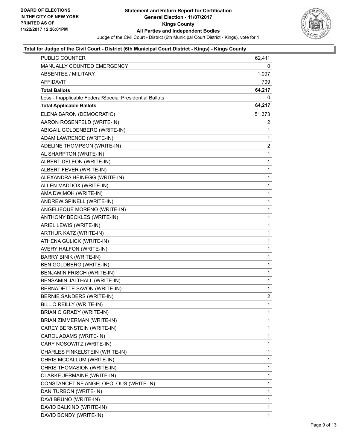

| <b>PUBLIC COUNTER</b>                                    | 62,411         |
|----------------------------------------------------------|----------------|
| MANUALLY COUNTED EMERGENCY                               | 0              |
| <b>ABSENTEE / MILITARY</b>                               | 1,097          |
| AFFIDAVIT                                                | 709            |
| <b>Total Ballots</b>                                     | 64,217         |
| Less - Inapplicable Federal/Special Presidential Ballots | 0              |
| <b>Total Applicable Ballots</b>                          | 64,217         |
| ELENA BARON (DEMOCRATIC)                                 | 51,373         |
| AARON ROSENFELD (WRITE-IN)                               | $\mathbf{2}$   |
| ABIGAIL GOLDENBERG (WRITE-IN)                            | 1              |
| ADAM LAWRENCE (WRITE-IN)                                 | 1              |
| ADELINE THOMPSON (WRITE-IN)                              | 2              |
| AL SHARPTON (WRITE-IN)                                   | 1              |
| ALBERT DELEON (WRITE-IN)                                 | 1              |
| ALBERT FEVER (WRITE-IN)                                  | 1              |
| ALEXANDRA HEINEGG (WRITE-IN)                             | 1              |
| ALLEN MADDOX (WRITE-IN)                                  | 1              |
| AMA DWIMOH (WRITE-IN)                                    | 1              |
| ANDREW SPINELL (WRITE-IN)                                | 1              |
| ANGELIEQUE MORENO (WRITE-IN)                             | 1              |
| ANTHONY BECKLES (WRITE-IN)                               | 1              |
| ARIEL LEWIS (WRITE-IN)                                   | 1              |
| ARTHUR KATZ (WRITE-IN)                                   | 1              |
| ATHENA GULICK (WRITE-IN)                                 | 1              |
| AVERY HALFON (WRITE-IN)                                  | 1              |
| <b>BARRY BINIK (WRITE-IN)</b>                            | 1              |
| BEN GOLDBERG (WRITE-IN)                                  | 1              |
| BENJAMIN FRISCH (WRITE-IN)                               | 1              |
| BENSAMIN JALTHALL (WRITE-IN)                             | 1              |
| BERNADETTE SAVON (WRITE-IN)                              | 1              |
| BERNIE SANDERS (WRITE-IN)                                | $\overline{2}$ |
| BILL O REILLY (WRITE-IN)                                 | 1              |
| BRIAN C GRADY (WRITE-IN)                                 | 1              |
| BRIAN ZIMMERMAN (WRITE-IN)                               | 1              |
| CAREY BERNSTEIN (WRITE-IN)                               | 1              |
| CAROL ADAMS (WRITE-IN)                                   | 1              |
| CARY NOSOWITZ (WRITE-IN)                                 | 1              |
| CHARLES FINKELSTEIN (WRITE-IN)                           | 1              |
| CHRIS MCCALLUM (WRITE-IN)                                | 1              |
| CHRIS THOMASION (WRITE-IN)                               | 1              |
| CLARKE JERMAINE (WRITE-IN)                               | 1              |
| CONSTANCETINE ANGELOPOLOUS (WRITE-IN)                    | 1              |
| DAN TURBON (WRITE-IN)                                    | 1              |
| DAVI BRUNO (WRITE-IN)                                    | 1              |
| DAVID BALKIND (WRITE-IN)                                 | 1              |
| DAVID BONDY (WRITE-IN)                                   | 1              |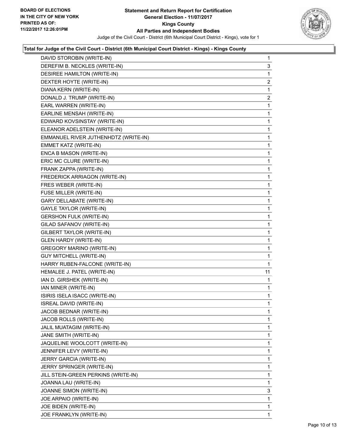

| DAVID STOROBIN (WRITE-IN)            | 1              |
|--------------------------------------|----------------|
| DEREFIM B. NECKLES (WRITE-IN)        | 3              |
| DESIREE HAMILTON (WRITE-IN)          | 1              |
| DEXTER HOYTE (WRITE-IN)              | $\overline{2}$ |
| DIANA KERN (WRITE-IN)                | 1              |
| DONALD J. TRUMP (WRITE-IN)           | 2              |
| EARL WARREN (WRITE-IN)               | 1              |
| EARLINE MENSAH (WRITE-IN)            | 1              |
| EDWARD KOVSINSTAY (WRITE-IN)         | 1              |
| ELEANOR ADELSTEIN (WRITE-IN)         | 1              |
| EMMANUEL RIVER JUTHENHDTZ (WRITE-IN) | 1              |
| EMMET KATZ (WRITE-IN)                | 1              |
| ENCA B MASON (WRITE-IN)              | 1              |
| ERIC MC CLURE (WRITE-IN)             | 1              |
| FRANK ZAPPA (WRITE-IN)               | 1              |
| FREDERICK ARRIAGON (WRITE-IN)        | 1              |
| FRES WEBER (WRITE-IN)                | 1              |
| FUSE MILLER (WRITE-IN)               | 1              |
| <b>GARY DELLABATE (WRITE-IN)</b>     | 1              |
| GAYLE TAYLOR (WRITE-IN)              | 1              |
| <b>GERSHON FULK (WRITE-IN)</b>       | 1              |
| GILAD SAFANOV (WRITE-IN)             | 1              |
| GILBERT TAYLOR (WRITE-IN)            | 1              |
| <b>GLEN HARDY (WRITE-IN)</b>         | 1              |
| <b>GREGORY MARINO (WRITE-IN)</b>     | 1              |
| <b>GUY MITCHELL (WRITE-IN)</b>       | 1              |
| HARRY RUBEN-FALCONE (WRITE-IN)       | $\mathbf{1}$   |
| HEMALEE J. PATEL (WRITE-IN)          | 11             |
| IAN D. GIRSHEK (WRITE-IN)            | 1              |
| IAN MINER (WRITE-IN)                 | 1              |
| ISIRIS ISELA ISACC (WRITE-IN)        | 1              |
| ISREAL DAVID (WRITE-IN)              | 1              |
| JACOB BEDNAR (WRITE-IN)              | 1              |
| JACOB ROLLS (WRITE-IN)               | 1              |
| JALIL MUATAGIM (WRITE-IN)            | 1              |
| JANE SMITH (WRITE-IN)                | 1              |
| JAQUELINE WOOLCOTT (WRITE-IN)        | 1              |
| JENNIFER LEVY (WRITE-IN)             | 1              |
| JERRY GARCIA (WRITE-IN)              | 1              |
| JERRY SPRINGER (WRITE-IN)            | 1              |
| JILL STEIN-GREEN PERKINS (WRITE-IN)  | 1              |
| JOANNA LAU (WRITE-IN)                | 1              |
| JOANNE SIMON (WRITE-IN)              | 3              |
| JOE ARPAIO (WRITE-IN)                | 1              |
| JOE BIDEN (WRITE-IN)                 | 1              |
| JOE FRANKLYN (WRITE-IN)              | 1              |
|                                      |                |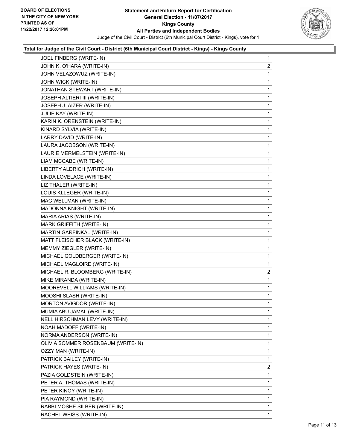

| JOEL FINBERG (WRITE-IN)            | $\mathbf{1}$   |
|------------------------------------|----------------|
| JOHN K. O'HARA (WRITE-IN)          | $\overline{2}$ |
| JOHN VELAZOWUZ (WRITE-IN)          | 1              |
| JOHN WICK (WRITE-IN)               | 1              |
| JONATHAN STEWART (WRITE-IN)        | 1              |
| JOSEPH ALTIERI III (WRITE-IN)      | 1              |
| JOSEPH J. AIZER (WRITE-IN)         | 1              |
| JULIE KAY (WRITE-IN)               | 1              |
| KARIN K. ORENSTEIN (WRITE-IN)      | 1              |
| KINARD SYLVIA (WRITE-IN)           | 1              |
| LARRY DAVID (WRITE-IN)             | 1              |
| LAURA JACOBSON (WRITE-IN)          | 1              |
| LAURIE MERMELSTEIN (WRITE-IN)      | 1              |
| LIAM MCCABE (WRITE-IN)             | 1              |
| LIBERTY ALDRICH (WRITE-IN)         | 1              |
| LINDA LOVELACE (WRITE-IN)          | 1              |
| LIZ THALER (WRITE-IN)              | 1              |
| LOUIS KLLEGER (WRITE-IN)           | 1              |
| MAC WELLMAN (WRITE-IN)             | 1              |
| MADONNA KNIGHT (WRITE-IN)          | 1              |
| MARIA ARIAS (WRITE-IN)             | 1              |
| MARK GRIFFITH (WRITE-IN)           | 1              |
| MARTIN GARFINKAL (WRITE-IN)        | 1              |
| MATT FLEISCHER BLACK (WRITE-IN)    | 1              |
| MEMMY ZIEGLER (WRITE-IN)           | 1              |
| MICHAEL GOLDBERGER (WRITE-IN)      | 1              |
| MICHAEL MAGLOIRE (WRITE-IN)        | 1              |
| MICHAEL R. BLOOMBERG (WRITE-IN)    | $\mathbf{2}$   |
| MIKE MIRANDA (WRITE-IN)            | 1              |
| MOOREVELL WILLIAMS (WRITE-IN)      | 1              |
| MOOSHI SLASH (WRITE-IN)            | 1              |
| MORTON AVIGDOR (WRITE-IN)          | 1              |
| MUMIA ABU JAMAL (WRITE-IN)         | 1              |
| NELL HIRSCHMAN LEVY (WRITE-IN)     | 1              |
| NOAH MADOFF (WRITE-IN)             | 1              |
| NORMA ANDERSON (WRITE-IN)          | 1              |
| OLIVIA SOMMER ROSENBAUM (WRITE-IN) | 1              |
| OZZY MAN (WRITE-IN)                | 1              |
| PATRICK BAILEY (WRITE-IN)          | 1              |
| PATRICK HAYES (WRITE-IN)           | $\mathbf{2}$   |
| PAZIA GOLDSTEIN (WRITE-IN)         | 1.             |
| PETER A. THOMAS (WRITE-IN)         | 1              |
| PETER KINOY (WRITE-IN)             | 1              |
| PIA RAYMOND (WRITE-IN)             | 1              |
| RABBI MOSHE SILBER (WRITE-IN)      | 1              |
| RACHEL WEISS (WRITE-IN)            | 1              |
|                                    |                |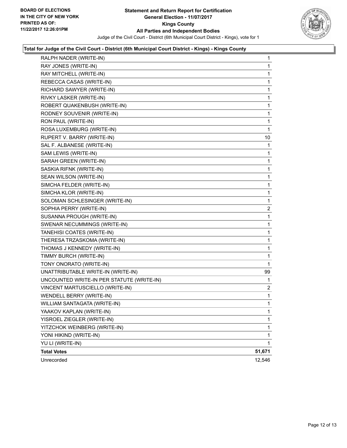

| RALPH NADER (WRITE-IN)                    | 1                       |
|-------------------------------------------|-------------------------|
| RAY JONES (WRITE-IN)                      | 1                       |
| RAY MITCHELL (WRITE-IN)                   | 1                       |
| REBECCA CASAS (WRITE-IN)                  | 1                       |
| RICHARD SAWYER (WRITE-IN)                 | 1                       |
| RIVKY LASKER (WRITE-IN)                   | 1                       |
| ROBERT QUAKENBUSH (WRITE-IN)              | 1                       |
| RODNEY SOUVENIR (WRITE-IN)                | 1                       |
| RON PAUL (WRITE-IN)                       | 1                       |
| ROSA LUXEMBURG (WRITE-IN)                 | 1                       |
| RUPERT V. BARRY (WRITE-IN)                | 10                      |
| SAL F. ALBANESE (WRITE-IN)                | 1                       |
| SAM LEWIS (WRITE-IN)                      | 1                       |
| SARAH GREEN (WRITE-IN)                    | 1                       |
| SASKIA RIFNK (WRITE-IN)                   | 1                       |
| SEAN WILSON (WRITE-IN)                    | 1                       |
| SIMCHA FELDER (WRITE-IN)                  | 1                       |
| SIMCHA KLOR (WRITE-IN)                    | 1                       |
| SOLOMAN SCHLESINGER (WRITE-IN)            | 1                       |
| SOPHIA PERRY (WRITE-IN)                   | $\overline{\mathbf{c}}$ |
| SUSANNA PROUGH (WRITE-IN)                 | 1                       |
| SWENAR NECUMMINGS (WRITE-IN)              | 1                       |
| TANEHISI COATES (WRITE-IN)                | 1                       |
| THERESA TRZASKOMA (WRITE-IN)              | 1                       |
| THOMAS J KENNEDY (WRITE-IN)               | 1                       |
| TIMMY BURCH (WRITE-IN)                    | 1                       |
| TONY ONORATO (WRITE-IN)                   | 1                       |
| UNATTRIBUTABLE WRITE-IN (WRITE-IN)        | 99                      |
| UNCOUNTED WRITE-IN PER STATUTE (WRITE-IN) | 1                       |
| VINCENT MARTUSCIELLO (WRITE-IN)           | $\mathbf{2}$            |
| WENDELL BERRY (WRITE-IN)                  | 1                       |
| WILLIAM SANTAGATA (WRITE-IN)              | 1                       |
| YAAKOV KAPLAN (WRITE-IN)                  | 1                       |
| YISROEL ZIEGLER (WRITE-IN)                | 1                       |
| YITZCHOK WEINBERG (WRITE-IN)              | 1                       |
| YONI HIKIND (WRITE-IN)                    | 1                       |
| YU LI (WRITE-IN)                          | 1                       |
| <b>Total Votes</b>                        | 51,671                  |
| Unrecorded                                | 12,546                  |